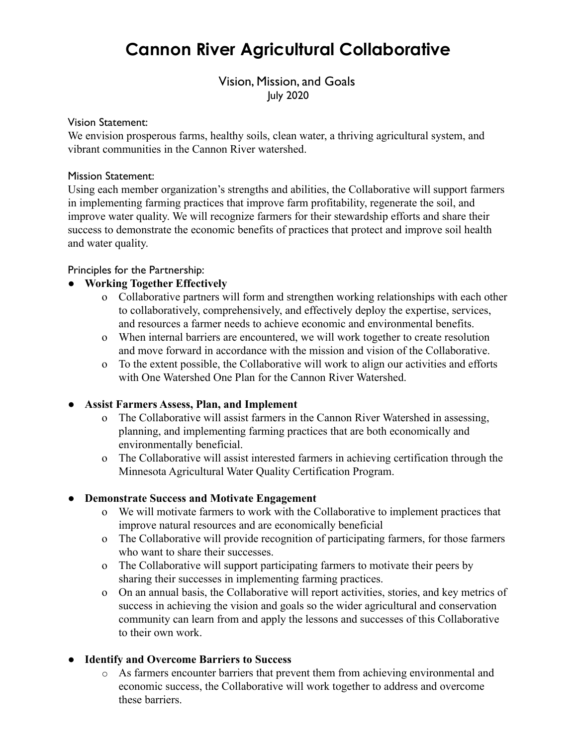# **Cannon River Agricultural Collaborative**

## Vision, Mission, and Goals July 2020

#### Vision Statement:

We envision prosperous farms, healthy soils, clean water, a thriving agricultural system, and vibrant communities in the Cannon River watershed.

#### Mission Statement:

Using each member organization's strengths and abilities, the Collaborative will support farmers in implementing farming practices that improve farm profitability, regenerate the soil, and improve water quality. We will recognize farmers for their stewardship efforts and share their success to demonstrate the economic benefits of practices that protect and improve soil health and water quality.

#### Principles for the Partnership:

#### **● Working Together Effectively**

- o Collaborative partners will form and strengthen working relationships with each other to collaboratively, comprehensively, and effectively deploy the expertise, services, and resources a farmer needs to achieve economic and environmental benefits.
- o When internal barriers are encountered, we will work together to create resolution and move forward in accordance with the mission and vision of the Collaborative.
- o To the extent possible, the Collaborative will work to align our activities and efforts with One Watershed One Plan for the Cannon River Watershed.

#### **● Assist Farmers Assess, Plan, and Implement**

- o The Collaborative will assist farmers in the Cannon River Watershed in assessing, planning, and implementing farming practices that are both economically and environmentally beneficial.
- o The Collaborative will assist interested farmers in achieving certification through the Minnesota Agricultural Water Quality Certification Program.

#### ● **Demonstrate Success and Motivate Engagement**

- o We will motivate farmers to work with the Collaborative to implement practices that improve natural resources and are economically beneficial
- o The Collaborative will provide recognition of participating farmers, for those farmers who want to share their successes.
- o The Collaborative will support participating farmers to motivate their peers by sharing their successes in implementing farming practices.
- o On an annual basis, the Collaborative will report activities, stories, and key metrics of success in achieving the vision and goals so the wider agricultural and conservation community can learn from and apply the lessons and successes of this Collaborative to their own work.

#### **● Identify and Overcome Barriers to Success**

o As farmers encounter barriers that prevent them from achieving environmental and economic success, the Collaborative will work together to address and overcome these barriers.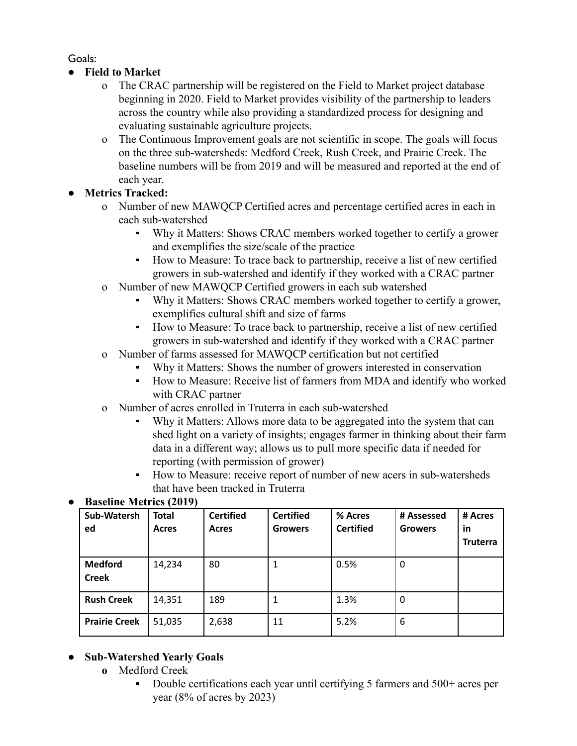Goals:

- **● Field to Market**
	- o The CRAC partnership will be registered on the Field to Market project database beginning in 2020. Field to Market provides visibility of the partnership to leaders across the country while also providing a standardized process for designing and evaluating sustainable agriculture projects.
	- o The Continuous Improvement goals are not scientific in scope. The goals will focus on the three sub-watersheds: Medford Creek, Rush Creek, and Prairie Creek. The baseline numbers will be from 2019 and will be measured and reported at the end of each year.

## **● Metrics Tracked:**

- o Number of new MAWQCP Certified acres and percentage certified acres in each in each sub-watershed
	- Why it Matters: Shows CRAC members worked together to certify a grower and exemplifies the size/scale of the practice
	- How to Measure: To trace back to partnership, receive a list of new certified growers in sub-watershed and identify if they worked with a CRAC partner
- o Number of new MAWQCP Certified growers in each sub watershed
	- Why it Matters: Shows CRAC members worked together to certify a grower, exemplifies cultural shift and size of farms
	- How to Measure: To trace back to partnership, receive a list of new certified growers in sub-watershed and identify if they worked with a CRAC partner
- o Number of farms assessed for MAWQCP certification but not certified
	- Why it Matters: Shows the number of growers interested in conservation
		- How to Measure: Receive list of farmers from MDA and identify who worked with CRAC partner
- o Number of acres enrolled in Truterra in each sub-watershed
	- Why it Matters: Allows more data to be aggregated into the system that can shed light on a variety of insights; engages farmer in thinking about their farm data in a different way; allows us to pull more specific data if needed for reporting (with permission of grower)
	- How to Measure: receive report of number of new acers in sub-watersheds that have been tracked in Truterra

| Sub-Watersh<br>ed              | <b>Total</b><br>Acres | <b>Certified</b><br>Acres | <b>Certified</b><br><b>Growers</b> | % Acres<br><b>Certified</b> | # Assessed<br><b>Growers</b> | # Acres<br>in<br><b>Truterra</b> |
|--------------------------------|-----------------------|---------------------------|------------------------------------|-----------------------------|------------------------------|----------------------------------|
| <b>Medford</b><br><b>Creek</b> | 14,234                | 80                        | 1                                  | 0.5%                        | 0                            |                                  |
| <b>Rush Creek</b>              | 14,351                | 189                       | 1                                  | 1.3%                        | 0                            |                                  |
| <b>Prairie Creek</b>           | 51,035                | 2,638                     | 11                                 | 5.2%                        | 6                            |                                  |

# **● Baseline Metrics (2019)**

## **● Sub-Watershed Yearly Goals**

- **o** Medford Creek
	- Double certifications each year until certifying 5 farmers and 500+ acres per year  $(8\% \text{ of acres by } 2023)$